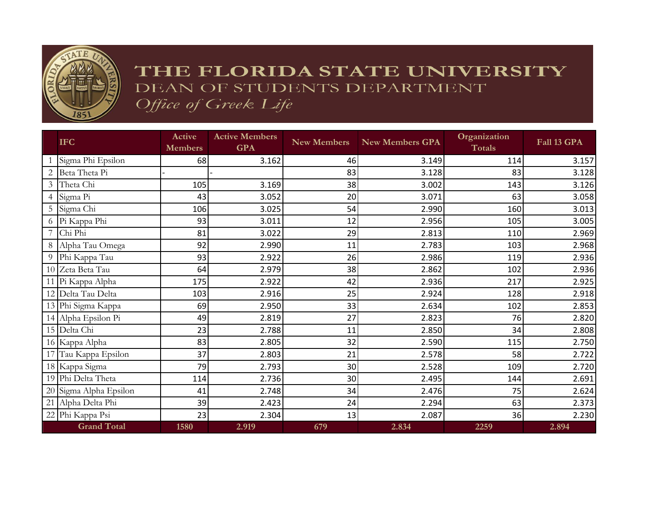

## THE FLORIDA STATE UNIVERSITY DEAN OF STUDENTS DEPARTMENT Office of Greek Life

|                | <b>IFC</b>             | Active<br><b>Members</b> | <b>Active Members</b><br><b>GPA</b> | <b>New Members</b> | <b>New Members GPA</b> | Organization<br><b>Totals</b> | Fall 13 GPA |
|----------------|------------------------|--------------------------|-------------------------------------|--------------------|------------------------|-------------------------------|-------------|
|                | Sigma Phi Epsilon      | 68                       | 3.162                               | 46                 | 3.149                  | 114                           | 3.157       |
|                | Beta Theta Pi          |                          |                                     | 83                 | 3.128                  | 83                            | 3.128       |
| 3 <sup>1</sup> | Theta Chi              | 105                      | 3.169                               | 38                 | 3.002                  | 143                           | 3.126       |
|                | 4 Sigma Pi             | 43                       | 3.052                               | 20                 | 3.071                  | 63                            | 3.058       |
|                | 5 Sigma Chi            | 106                      | 3.025                               | 54                 | 2.990                  | 160                           | 3.013       |
|                | 6 Pi Kappa Phi         | 93                       | 3.011                               | 12                 | 2.956                  | 105                           | 3.005       |
|                | $Chi$ Phi              | 81                       | 3.022                               | 29                 | 2.813                  | 110                           | 2.969       |
| 8              | Alpha Tau Omega        | 92                       | 2.990                               | 11                 | 2.783                  | 103                           | 2.968       |
| 9              | Phi Kappa Tau          | 93                       | 2.922                               | 26                 | 2.986                  | 119                           | 2.936       |
|                | 10 Zeta Beta Tau       | 64                       | 2.979                               | 38                 | 2.862                  | 102                           | 2.936       |
|                | 11 Pi Kappa Alpha      | 175                      | 2.922                               | 42                 | 2.936                  | 217                           | 2.925       |
|                | 12 Delta Tau Delta     | 103                      | 2.916                               | 25                 | 2.924                  | 128                           | 2.918       |
|                | 13 Phi Sigma Kappa     | 69                       | 2.950                               | 33                 | 2.634                  | 102                           | 2.853       |
|                | 14 Alpha Epsilon Pi    | 49                       | 2.819                               | 27                 | 2.823                  | 76                            | 2.820       |
|                | 15 Delta Chi           | 23                       | 2.788                               | 11                 | 2.850                  | 34                            | 2.808       |
|                | 16 Kappa Alpha         | 83                       | 2.805                               | 32                 | 2.590                  | 115                           | 2.750       |
|                | 17 Tau Kappa Epsilon   | 37                       | 2.803                               | 21                 | 2.578                  | 58                            | 2.722       |
|                | 18 Kappa Sigma         | 79                       | 2.793                               | 30                 | 2.528                  | 109                           | 2.720       |
|                | 19 Phi Delta Theta     | 114                      | 2.736                               | 30                 | 2.495                  | 144                           | 2.691       |
|                | 20 Sigma Alpha Epsilon | 41                       | 2.748                               | 34                 | 2.476                  | 75                            | 2.624       |
|                | 21 Alpha Delta Phi     | 39                       | 2.423                               | 24                 | 2.294                  | 63                            | 2.373       |
|                | 22 Phi Kappa Psi       | 23                       | 2.304                               | 13                 | 2.087                  | 36                            | 2.230       |
|                | <b>Grand Total</b>     | 1580                     | 2.919                               | 679                | 2.834                  | 2259                          | 2.894       |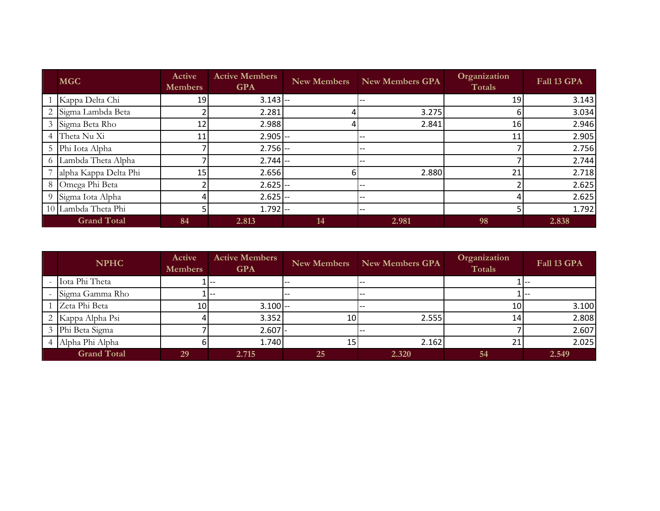| <b>MGC</b>            | Active<br><b>Members</b> | <b>Active Members</b><br><b>GPA</b> | <b>New Members</b> | <b>New Members GPA</b> | Organization<br>Totals | Fall 13 GPA |
|-----------------------|--------------------------|-------------------------------------|--------------------|------------------------|------------------------|-------------|
| 1 Kappa Delta Chi     | 19                       | $3.143$ --                          |                    |                        | 19                     | 3.143       |
| 2 Sigma Lambda Beta   |                          | 2.281                               | 4                  | 3.275                  | h                      | 3.034       |
| 3 Sigma Beta Rho      | 12 <sub>1</sub>          | 2.988                               | 4                  | 2.841                  | 16                     | 2.946       |
| 4 Theta Nu Xi         | 11                       | $2.905$ --                          |                    | --                     | 11                     | 2.905       |
| 5 Phi Iota Alpha      |                          | $2.756$ --                          |                    | --                     |                        | 2.756       |
| 6 Lambda Theta Alpha  |                          | $2.744$ --                          |                    |                        |                        | 2.744       |
| alpha Kappa Delta Phi | 15                       | 2.656                               | 6                  | 2.880                  | 21                     | 2.718       |
| 8 Omega Phi Beta      |                          | $2.625$ --                          |                    |                        |                        | 2.625       |
| 9 Sigma Iota Alpha    |                          | $2.625$ --                          |                    |                        |                        | 2.625       |
| 10 Lambda Theta Phi   |                          | $1.792$ --                          |                    | --                     |                        | 1.792       |
| <b>Grand Total</b>    | 84                       | 2.813                               | 14                 | 2.981                  | 98                     | 2.838       |

| Iota Phi Theta<br>Sigma Gamma Rho |                 |            |                 |       |    |       |
|-----------------------------------|-----------------|------------|-----------------|-------|----|-------|
|                                   |                 |            |                 |       |    |       |
|                                   |                 |            |                 | $- -$ |    |       |
| Zeta Phi Beta                     | 10 <sup>1</sup> | $3.100$ -- |                 |       | 10 | 3.100 |
| Kappa Alpha Psi                   |                 | 3.352      | 10 <sub>l</sub> | 2.555 | 14 | 2.808 |
| Phi Beta Sigma                    |                 | $2.607$ -  |                 |       |    | 2.607 |
| Alpha Phi Alpha                   |                 | 1.740      | 15 <sub>1</sub> | 2.162 | 21 | 2.025 |
| <b>Grand Total</b>                | 29              | 2.715      | 25              | 2.320 | 54 | 2.549 |